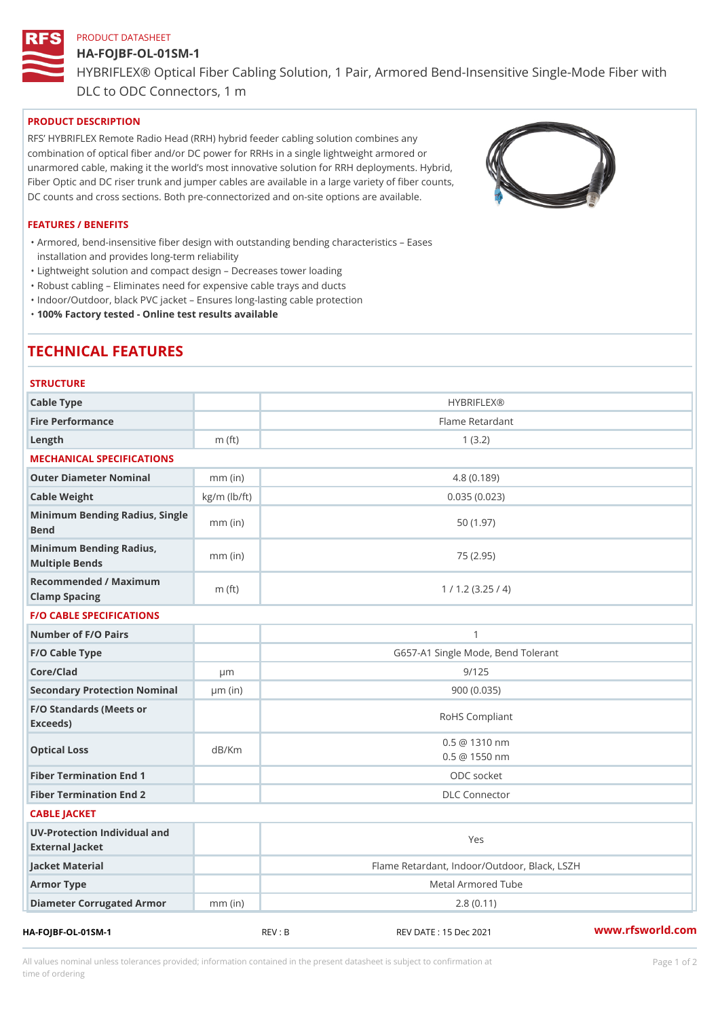### PRODUCT DATASHEET

# HA-FOJBF-OL-01SM-1 HYBRIFLEX® Optical Fiber Cabling Solution, 1 Pair, Armored Bend-Ins DLC to ODC Connectors, 1 m

## PRODUCT DESCRIPTION

RFS HYBRIFLEX Remote Radio Head (RRH) hybrid feeder cabling solution combines any combination of optical fiber and/or DC power for RRHs in a single lightweight armored or unarmored cable, making it the world s most innovative solution for RRH deployments. Hybrid, Fiber Optic and DC riser trunk and jumper cables are available in a large variety of fiber counts, DC counts and cross sections. Both pre-connectorized and on-site options are available.

#### FEATURES / BENEFITS

Armored, bend-insensitive fiber design with outstanding bending characteristics Eases " installation and provides long-term reliability

"Lightweight solution and compact design Decreases tower loading

"Robust cabling Eliminates need for expensive cable trays and ducts

"Indoor/Outdoor, black PVC jacket Ensures long-lasting cable protection

"100% Factory tested - Online test results available

# TECHNICAL FEATURES

| <b>STRUCTURE</b>                                  |                    |                                              |
|---------------------------------------------------|--------------------|----------------------------------------------|
| Cable Type                                        |                    | <b>HYBRIFLEX®</b>                            |
| Fire Performance                                  |                    | Flame Retardant                              |
| $L$ ength                                         | m $(ft)$           | 1(3.2)                                       |
| MECHANICAL SPECIFICATIONS                         |                    |                                              |
| Outer Diameter Nominal                            | $mm$ (in)          | 4.8(0.189)                                   |
| Cable Weight                                      | $kg/m$ ( $lb/ft$ ) | 0.035(0.023)                                 |
| Minimum Bending Radius, Single<br>mm (in<br>Bend  |                    | 50(1.97)                                     |
| Minimum Bending Radius, mm (in)<br>Multiple Bends |                    | 75 (2.95)                                    |
| Recommended / Maximum<br>Clamp Spacing            | $m$ (ft)           | 1 / 1.2 (3.25 / 4)                           |
| <b>F/O CABLE SPECIFICATIONS</b>                   |                    |                                              |
| Number of F/O Pairs                               |                    | $\mathbf{1}$                                 |
| F/O Cable Type                                    |                    | G657-A1 Single Mode, Bend Tolerant           |
| Core/Clad                                         | $\mu$ m            | 9/125                                        |
| Secondary Protection Nomumal(in)                  |                    | 900(0.035)                                   |
| F/O Standards (Meets or<br>Exceeds)               |                    | RoHS Compliant                               |
| Optical Loss                                      | dB/Km              | $0.5 \t@ 1310 nm$<br>$0.5 \t@ 1550 nm$       |
| Fiber Termination End 1                           |                    | ODC socket                                   |
| Fiber Termination End 2                           |                    | <b>DLC</b> Connector                         |
| CABLE JACKET                                      |                    |                                              |
| UV-Protection Individual and<br>External Jacket   |                    | Yes                                          |
| Jacket Material                                   |                    | Flame Retardant, Indoor/Outdoor, Black, LSZH |
| Armor Type                                        |                    | Metal Armored Tube                           |
| Diameter Corrugated Armomm (in)                   |                    | 2.8(0.11)                                    |
|                                                   |                    |                                              |

HA-FOJBF-OL-01SM-1 REV : B REV DATE : 15 Dec 2021 [www.](https://www.rfsworld.com)rfsworld.com

All values nominal unless tolerances provided; information contained in the present datasheet is subject to Pcapgeign manation time of ordering